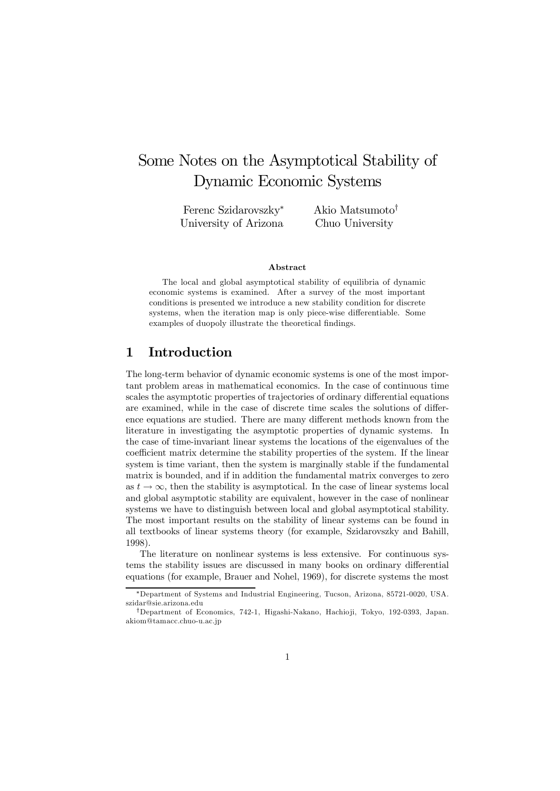# Some Notes on the Asymptotical Stability of Dynamic Economic Systems

Ferenc Szidarovszky<sup>∗</sup> University of Arizona Akio Matsumoto† Chuo University

#### Abstract

The local and global asymptotical stability of equilibria of dynamic economic systems is examined. After a survey of the most important conditions is presented we introduce a new stability condition for discrete systems, when the iteration map is only piece-wise differentiable. Some examples of duopoly illustrate the theoretical findings.

# 1 Introduction

The long-term behavior of dynamic economic systems is one of the most important problem areas in mathematical economics. In the case of continuous time scales the asymptotic properties of trajectories of ordinary differential equations are examined, while in the case of discrete time scales the solutions of difference equations are studied. There are many different methods known from the literature in investigating the asymptotic properties of dynamic systems. In the case of time-invariant linear systems the locations of the eigenvalues of the coefficient matrix determine the stability properties of the system. If the linear system is time variant, then the system is marginally stable if the fundamental matrix is bounded, and if in addition the fundamental matrix converges to zero as  $t \to \infty$ , then the stability is asymptotical. In the case of linear systems local and global asymptotic stability are equivalent, however in the case of nonlinear systems we have to distinguish between local and global asymptotical stability. The most important results on the stability of linear systems can be found in all textbooks of linear systems theory (for example, Szidarovszky and Bahill, 1998).

The literature on nonlinear systems is less extensive. For continuous systems the stability issues are discussed in many books on ordinary differential equations (for example, Brauer and Nohel, 1969), for discrete systems the most

<sup>∗</sup>Department of Systems and Industrial Engineering, Tucson, Arizona, 85721-0020, USA. szidar@sie.arizona.edu

<sup>†</sup>Department of Economics, 742-1, Higashi-Nakano, Hachio ji, Tokyo, 192-0393, Japan. akiom@tamacc.chuo-u.ac.jp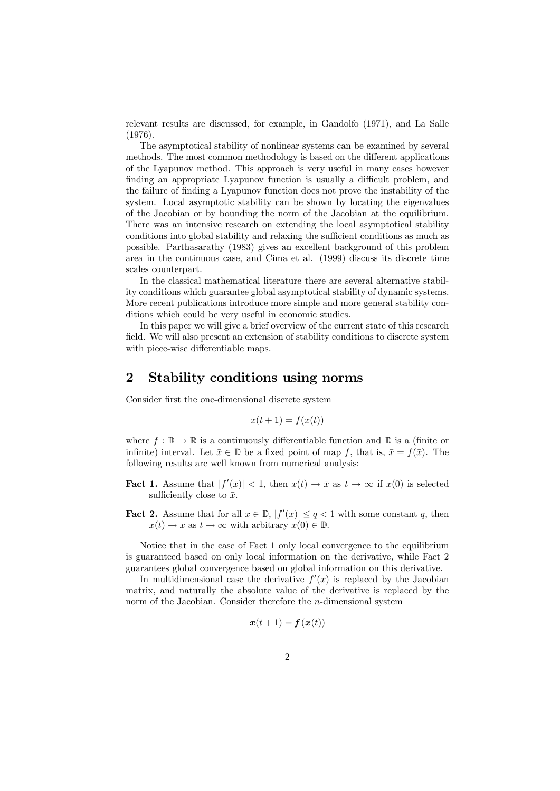relevant results are discussed, for example, in Gandolfo (1971), and La Salle (1976).

The asymptotical stability of nonlinear systems can be examined by several methods. The most common methodology is based on the different applications of the Lyapunov method. This approach is very useful in many cases however finding an appropriate Lyapunov function is usually a difficult problem, and the failure of finding a Lyapunov function does not prove the instability of the system. Local asymptotic stability can be shown by locating the eigenvalues of the Jacobian or by bounding the norm of the Jacobian at the equilibrium. There was an intensive research on extending the local asymptotical stability conditions into global stability and relaxing the sufficient conditions as much as possible. Parthasarathy (1983) gives an excellent background of this problem area in the continuous case, and Cima et al. (1999) discuss its discrete time scales counterpart.

In the classical mathematical literature there are several alternative stability conditions which guarantee global asymptotical stability of dynamic systems. More recent publications introduce more simple and more general stability conditions which could be very useful in economic studies.

In this paper we will give a brief overview of the current state of this research field. We will also present an extension of stability conditions to discrete system with piece-wise differentiable maps.

### 2 Stability conditions using norms

Consider first the one-dimensional discrete system

$$
x(t+1) = f(x(t))
$$

where  $f : \mathbb{D} \to \mathbb{R}$  is a continuously differentiable function and  $\mathbb{D}$  is a (finite or infinite) interval. Let  $\bar{x} \in \mathbb{D}$  be a fixed point of map f, that is,  $\bar{x} = f(\bar{x})$ . The following results are well known from numerical analysis:

- **Fact 1.** Assume that  $|f'(\bar{x})| < 1$ , then  $x(t) \to \bar{x}$  as  $t \to \infty$  if  $x(0)$  is selected sufficiently close to  $\bar{x}$ .
- **Fact 2.** Assume that for all  $x \in \mathbb{D}$ ,  $|f'(x)| \leq q < 1$  with some constant q, then  $x(t) \to x$  as  $t \to \infty$  with arbitrary  $x(0) \in \mathbb{D}$ .

Notice that in the case of Fact 1 only local convergence to the equilibrium is guaranteed based on only local information on the derivative, while Fact 2 guarantees global convergence based on global information on this derivative.

In multidimensional case the derivative  $f'(x)$  is replaced by the Jacobian matrix, and naturally the absolute value of the derivative is replaced by the norm of the Jacobian. Consider therefore the n-dimensional system

$$
\boldsymbol{x}(t+1) = \boldsymbol{f}(\boldsymbol{x}(t))
$$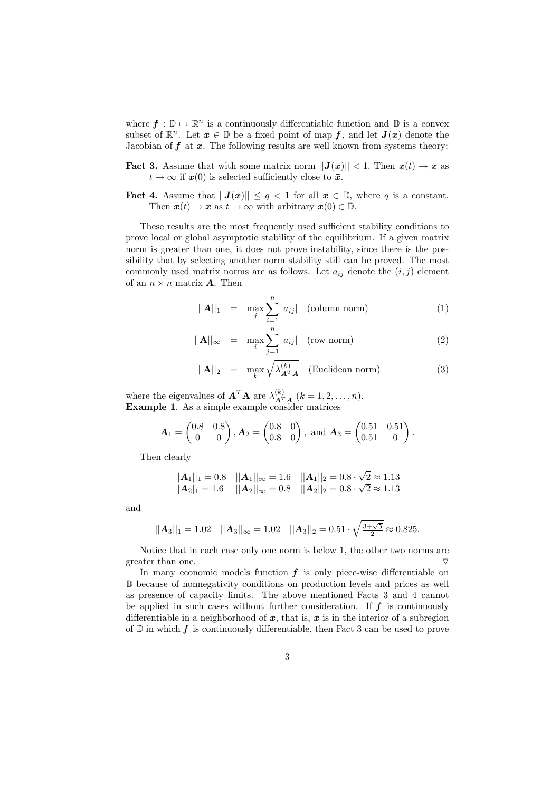where  $f : \mathbb{D} \to \mathbb{R}^n$  is a continuously differentiable function and  $\mathbb{D}$  is a convex subset of  $\mathbb{R}^n$ . Let  $\bar{x} \in \mathbb{D}$  be a fixed point of map f, and let  $J(x)$  denote the Jacobian of  $f$  at  $x$ . The following results are well known from systems theory:

**Fact 3.** Assume that with some matrix norm  $||\mathbf{J}(\bar{x})|| < 1$ . Then  $\mathbf{x}(t) \to \bar{x}$  as  $t \to \infty$  if  $x(0)$  is selected sufficiently close to  $\bar{x}$ .

**Fact 4.** Assume that  $||J(x)|| \le q < 1$  for all  $x \in \mathbb{D}$ , where q is a constant. Then  $\mathbf{x}(t) \to \bar{\mathbf{x}}$  as  $t \to \infty$  with arbitrary  $\mathbf{x}(0) \in \mathbb{D}$ .

These results are the most frequently used sufficient stability conditions to prove local or global asymptotic stability of the equilibrium. If a given matrix norm is greater than one, it does not prove instability, since there is the possibility that by selecting another norm stability still can be proved. The most commonly used matrix norms are as follows. Let  $a_{ij}$  denote the  $(i, j)$  element of an  $n \times n$  matrix **A**. Then

$$
||\mathbf{A}||_1 = \max_j \sum_{i=1}^n |a_{ij}| \quad \text{(column norm)} \tag{1}
$$

$$
||\mathbf{A}||_{\infty} = \max_{i} \sum_{j=1}^{n} |a_{ij}| \quad \text{(row norm)} \tag{2}
$$

$$
||\mathbf{A}||_2 = \max_{k} \sqrt{\lambda_{\mathbf{A}^T \mathbf{A}}^{(k)}} \quad \text{(Euclidean norm)} \tag{3}
$$

where the eigenvalues of  $\mathbf{A}^T \mathbf{A}$  are  $\lambda_{\mathbf{A}^T \mathbf{A}}^{(k)}$   $(k = 1, 2, ..., n)$ . Example 1. As a simple example consider matrices

$$
\mathbf{A}_1 = \begin{pmatrix} 0.8 & 0.8 \\ 0 & 0 \end{pmatrix}, \mathbf{A}_2 = \begin{pmatrix} 0.8 & 0 \\ 0.8 & 0 \end{pmatrix}, \text{ and } \mathbf{A}_3 = \begin{pmatrix} 0.51 & 0.51 \\ 0.51 & 0 \end{pmatrix}.
$$

Then clearly

$$
||A_1||_1 = 0.8
$$
  $||A_1||_{\infty} = 1.6$   $||A_1||_2 = 0.8 \cdot \sqrt{2} \approx 1.13$   
 $||A_2||_1 = 1.6$   $||A_2||_{\infty} = 0.8$   $||A_2||_2 = 0.8 \cdot \sqrt{2} \approx 1.13$ 

and

$$
||\mathbf{A}_3||_1 = 1.02
$$
  $||\mathbf{A}_3||_{\infty} = 1.02$   $||\mathbf{A}_3||_2 = 0.51 \cdot \sqrt{\frac{3+\sqrt{5}}{2}} \approx 0.825.$ 

Notice that in each case only one norm is below 1, the other two norms are greater than one.  $\nabla$ 

In many economic models function  $f$  is only piece-wise differentiable on D because of nonnegativity conditions on production levels and prices as well as presence of capacity limits. The above mentioned Facts 3 and 4 cannot be applied in such cases without further consideration. If  $f$  is continuously differentiable in a neighborhood of  $\bar{x}$ , that is,  $\bar{x}$  is in the interior of a subregion of  $\mathbb D$  in which f is continuously differentiable, then Fact 3 can be used to prove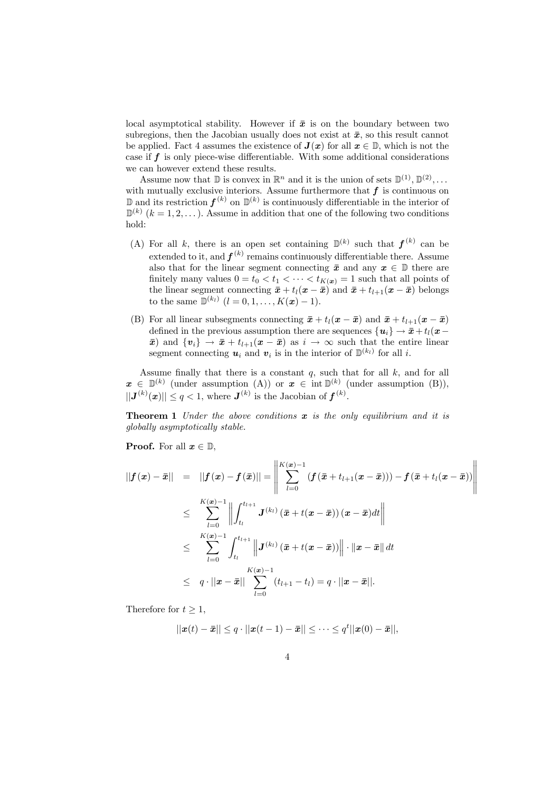local asymptotical stability. However if  $\bar{x}$  is on the boundary between two subregions, then the Jacobian usually does not exist at  $\bar{x}$ , so this result cannot be applied. Fact 4 assumes the existence of  $J(x)$  for all  $x \in \mathbb{D}$ , which is not the case if  $f$  is only piece-wise differentiable. With some additional considerations we can however extend these results.

Assume now that  $\mathbb{D}$  is convex in  $\mathbb{R}^n$  and it is the union of sets  $\mathbb{D}^{(1)}$ ,  $\mathbb{D}^{(2)}$ ,... with mutually exclusive interiors. Assume furthermore that  $f$  is continuous on  $\mathbb D$  and its restriction  $f^{(k)}$  on  $\mathbb D^{(k)}$  is continuously differentiable in the interior of  $\mathbb{D}^{(k)}$   $(k = 1, 2, \ldots)$ . Assume in addition that one of the following two conditions hold:

- (A) For all k, there is an open set containing  $\mathbb{D}^{(k)}$  such that  $f^{(k)}$  can be extended to it, and  $f^{(k)}$  remains continuously differentiable there. Assume also that for the linear segment connecting  $\bar{x}$  and any  $x \in \mathbb{D}$  there are finitely many values  $0 = t_0 < t_1 < \cdots < t_{K(x)} = 1$  such that all points of the linear segment connecting  $\bar{x} + t_l(x - \bar{x})$  and  $\bar{x} + t_{l+1}(x - \bar{x})$  belongs to the same  $\mathbb{D}^{(k_l)}$   $(l = 0, 1, \ldots, K(\mathbf{x}) - 1).$
- (B) For all linear subsegments connecting  $\bar{x} + t_l(x \bar{x})$  and  $\bar{x} + t_{l+1}(x \bar{x})$ defined in the previous assumption there are sequences  $\{u_i\} \rightarrow \bar{x} + t_l(x-\bar{y})$  $\bar{x}$ ) and  $\{v_i\} \to \bar{x} + t_{l+1}(x - \bar{x})$  as  $i \to \infty$  such that the entire linear segment connecting  $u_i$  and  $v_i$  is in the interior of  $\mathbb{D}^{(k_l)}$  for all i.

Assume finally that there is a constant  $q$ , such that for all  $k$ , and for all  $x \in \mathbb{D}^{(k)}$  (under assumption (A)) or  $x \in \text{int } \mathbb{D}^{(k)}$  (under assumption (B)),  $||J^{(k)}(x)|| \leq q < 1$ , where  $J^{(k)}$  is the Jacobian of  $f^{(k)}$ .

**Theorem 1** Under the above conditions  $x$  is the only equilibrium and it is globally asymptotically stable.

**Proof.** For all  $x \in \mathbb{D}$ ,

$$
||f(x) - \bar{x}|| = ||f(x) - f(\bar{x})|| = \left\| \sum_{l=0}^{K(x)-1} (f(\bar{x} + t_{l+1}(x - \bar{x}))) - f(\bar{x} + t_l(x - \bar{x})) \right\|
$$
  
\n
$$
\leq \sum_{l=0}^{K(x)-1} \left\| \int_{t_l}^{t_{l+1}} J^{(k_l)}(\bar{x} + t(x - \bar{x})) (x - \bar{x}) dt \right\|
$$
  
\n
$$
\leq \sum_{l=0}^{K(x)-1} \int_{t_l}^{t_{l+1}} \left\| J^{(k_l)}(\bar{x} + t(x - \bar{x})) \right\| \cdot \|x - \bar{x}\| dt
$$
  
\n
$$
\leq q \cdot ||x - \bar{x}|| \sum_{l=0}^{K(x)-1} (t_{l+1} - t_l) = q \cdot ||x - \bar{x}||.
$$

Therefore for  $t \geq 1$ ,

$$
||\boldsymbol{x}(t)-\boldsymbol{\bar{x}}|| \leq q \cdot ||\boldsymbol{x}(t-1)-\boldsymbol{\bar{x}}|| \leq \cdots \leq q^{t} ||\boldsymbol{x}(0)-\boldsymbol{\bar{x}}||,
$$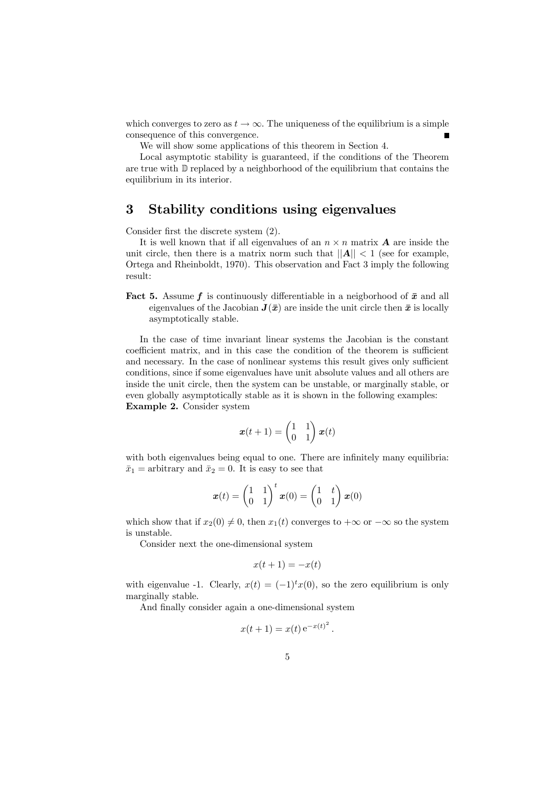which converges to zero as  $t \to \infty$ . The uniqueness of the equilibrium is a simple consequence of this convergence.

We will show some applications of this theorem in Section 4.

Local asymptotic stability is guaranteed, if the conditions of the Theorem are true with D replaced by a neighborhood of the equilibrium that contains the equilibrium in its interior.

# 3 Stability conditions using eigenvalues

Consider first the discrete system (2).

It is well known that if all eigenvalues of an  $n \times n$  matrix **A** are inside the unit circle, then there is a matrix norm such that  $||A|| < 1$  (see for example, Ortega and Rheinboldt, 1970). This observation and Fact 3 imply the following result:

**Fact 5.** Assume f is continuously differentiable in a neigborhood of  $\bar{x}$  and all eigenvalues of the Jacobian  $J(\bar{x})$  are inside the unit circle then  $\bar{x}$  is locally asymptotically stable.

In the case of time invariant linear systems the Jacobian is the constant coefficient matrix, and in this case the condition of the theorem is sufficient and necessary. In the case of nonlinear systems this result gives only sufficient conditions, since if some eigenvalues have unit absolute values and all others are inside the unit circle, then the system can be unstable, or marginally stable, or even globally asymptotically stable as it is shown in the following examples: Example 2. Consider system

$$
\boldsymbol{x}(t+1) = \begin{pmatrix} 1 & 1 \\ 0 & 1 \end{pmatrix} \boldsymbol{x}(t)
$$

with both eigenvalues being equal to one. There are infinitely many equilibria:  $\bar{x}_1$  = arbitrary and  $\bar{x}_2 = 0$ . It is easy to see that

$$
\boldsymbol{x}(t) = \begin{pmatrix} 1 & 1 \\ 0 & 1 \end{pmatrix}^t \boldsymbol{x}(0) = \begin{pmatrix} 1 & t \\ 0 & 1 \end{pmatrix} \boldsymbol{x}(0)
$$

which show that if  $x_2(0) \neq 0$ , then  $x_1(t)$  converges to  $+\infty$  or  $-\infty$  so the system is unstable.

Consider next the one-dimensional system

$$
x(t+1) = -x(t)
$$

with eigenvalue -1. Clearly,  $x(t) = (-1)^{t}x(0)$ , so the zero equilibrium is only marginally stable.

And finally consider again a one-dimensional system

$$
x(t+1) = x(t) e^{-x(t)^2}
$$

.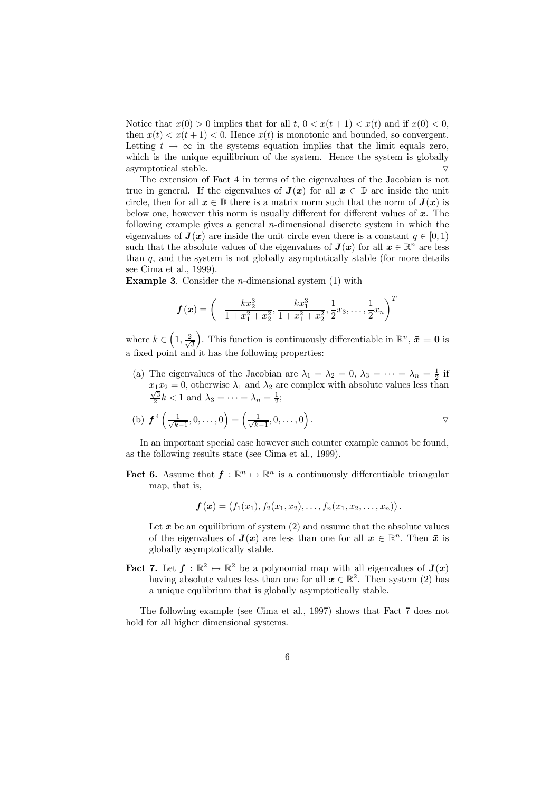Notice that  $x(0) > 0$  implies that for all t,  $0 < x(t+1) < x(t)$  and if  $x(0) < 0$ . then  $x(t) < x(t+1) < 0$ . Hence  $x(t)$  is monotonic and bounded, so convergent. Letting  $t \to \infty$  in the systems equation implies that the limit equals zero, which is the unique equilibrium of the system. Hence the system is globally asymptotical stable.  $\triangledown$ 

The extension of Fact 4 in terms of the eigenvalues of the Jacobian is not true in general. If the eigenvalues of  $J(x)$  for all  $x \in \mathbb{D}$  are inside the unit circle, then for all  $x \in \mathbb{D}$  there is a matrix norm such that the norm of  $J(x)$  is below one, however this norm is usually different for different values of  $x$ . The following example gives a general n-dimensional discrete system in which the eigenvalues of  $J(x)$  are inside the unit circle even there is a constant  $q \in [0, 1)$ such that the absolute values of the eigenvalues of  $J(x)$  for all  $x \in \mathbb{R}^n$  are less than  $q$ , and the system is not globally asymptotically stable (for more details see Cima et al., 1999).

**Example 3.** Consider the *n*-dimensional system  $(1)$  with

$$
\bm{f}\left(\bm{x}\right)=\left(-\frac{kx_2^3}{1+x_1^2+x_2^2},\frac{kx_1^3}{1+x_1^2+x_2^2},\frac{1}{2}x_3,\ldots,\frac{1}{2}x_n\right)^T
$$

where  $k \in \left(1, \frac{2}{\sqrt{2}}\right)$ 3 ). This function is continuously differentiable in  $\mathbb{R}^n$ ,  $\bar{x} = 0$  is a fixed point and it has the following properties:

(a) The eigenvalues of the Jacobian are  $\lambda_1 = \lambda_2 = 0, \lambda_3 = \cdots = \lambda_n = \frac{1}{2}$  if  $x_1x_2 = 0$ , otherwise  $\lambda_1$  and  $\lambda_2$  are complex with absolute values less than  $\frac{\sqrt{3}}{2}k < 1$  and  $\lambda_3 = \cdots = \lambda_n = \frac{1}{2}$ ;

(b) 
$$
f^4\left(\frac{1}{\sqrt{k-1}}, 0, \ldots, 0\right) = \left(\frac{1}{\sqrt{k-1}}, 0, \ldots, 0\right)
$$
.

In an important special case however such counter example cannot be found, as the following results state (see Cima et al., 1999).

**Fact 6.** Assume that  $f : \mathbb{R}^n \to \mathbb{R}^n$  is a continuously differentiable triangular map, that is,

 $f(x)=(f_1(x_1), f_2(x_1, x_2), \ldots, f_n(x_1, x_2, \ldots, x_n)).$ 

Let  $\bar{x}$  be an equilibrium of system (2) and assume that the absolute values of the eigenvalues of  $J(x)$  are less than one for all  $x \in \mathbb{R}^n$ . Then  $\bar{x}$  is globally asymptotically stable.

**Fact 7.** Let  $f : \mathbb{R}^2 \to \mathbb{R}^2$  be a polynomial map with all eigenvalues of  $J(x)$ having absolute values less than one for all  $x \in \mathbb{R}^2$ . Then system (2) has a unique equlibrium that is globally asymptotically stable.

The following example (see Cima et al., 1997) shows that Fact 7 does not hold for all higher dimensional systems.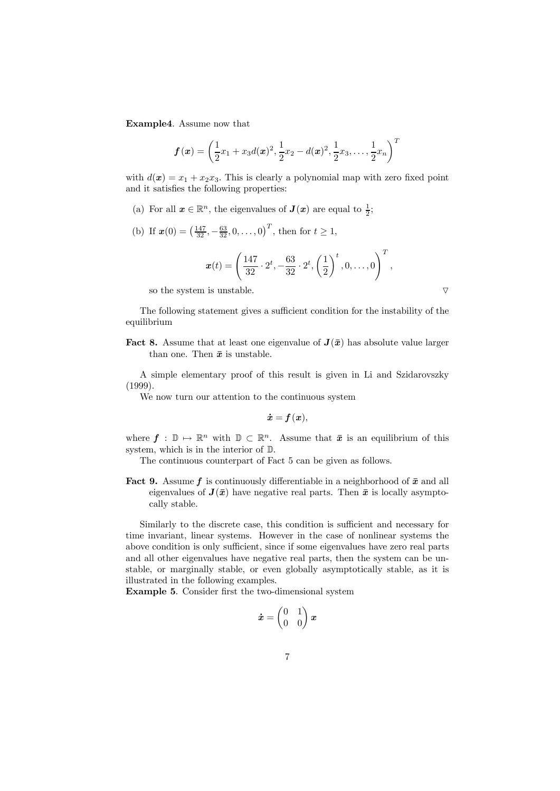Example4. Assume now that

$$
\bm{f}\left(\bm{x}\right)=\left(\frac{1}{2}x_{1}+x_{3}d(\bm{x})^{2},\frac{1}{2}x_{2}-d(\bm{x})^{2},\frac{1}{2}x_{3},\ldots,\frac{1}{2}x_{n}\right)^{T}
$$

with  $d(\mathbf{x}) = x_1 + x_2x_3$ . This is clearly a polynomial map with zero fixed point and it satisfies the following properties:

- (a) For all  $\mathbf{x} \in \mathbb{R}^n$ , the eigenvalues of  $\mathbf{J}(\mathbf{x})$  are equal to  $\frac{1}{2}$ ;
- (b) If  $\mathbf{x}(0) = \left(\frac{147}{32}, -\frac{63}{32}, 0, \ldots, 0\right)^T$ , then for  $t \ge 1$ ,

$$
\boldsymbol{x}(t) = \left(\frac{147}{32} \cdot 2^t, -\frac{63}{32} \cdot 2^t, \left(\frac{1}{2}\right)^t, 0, \dots, 0\right)^T
$$

,

so the system is unstable.  $\qquad \qquad \nabla$ 

The following statement gives a sufficient condition for the instability of the equilibrium

**Fact 8.** Assume that at least one eigenvalue of  $J(\bar{x})$  has absolute value larger than one. Then  $\bar{x}$  is unstable.

A simple elementary proof of this result is given in Li and Szidarovszky (1999).

We now turn our attention to the continuous system

$$
\dot{\boldsymbol{x}} = \boldsymbol{f}\left(\boldsymbol{x}\right),
$$

where  $f : \mathbb{D} \to \mathbb{R}^n$  with  $\mathbb{D} \subset \mathbb{R}^n$ . Assume that  $\bar{x}$  is an equilibrium of this system, which is in the interior of D.

The continuous counterpart of Fact 5 can be given as follows.

**Fact 9.** Assume f is continuously differentiable in a neighborhood of  $\bar{x}$  and all eigenvalues of  $J(\bar{x})$  have negative real parts. Then  $\bar{x}$  is locally asymptocally stable.

Similarly to the discrete case, this condition is sufficient and necessary for time invariant, linear systems. However in the case of nonlinear systems the above condition is only sufficient, since if some eigenvalues have zero real parts and all other eigenvalues have negative real parts, then the system can be unstable, or marginally stable, or even globally asymptotically stable, as it is illustrated in the following examples.

Example 5. Consider first the two-dimensional system

$$
\dot{\boldsymbol{x}} = \begin{pmatrix} 0 & 1 \\ 0 & 0 \end{pmatrix} \boldsymbol{x}
$$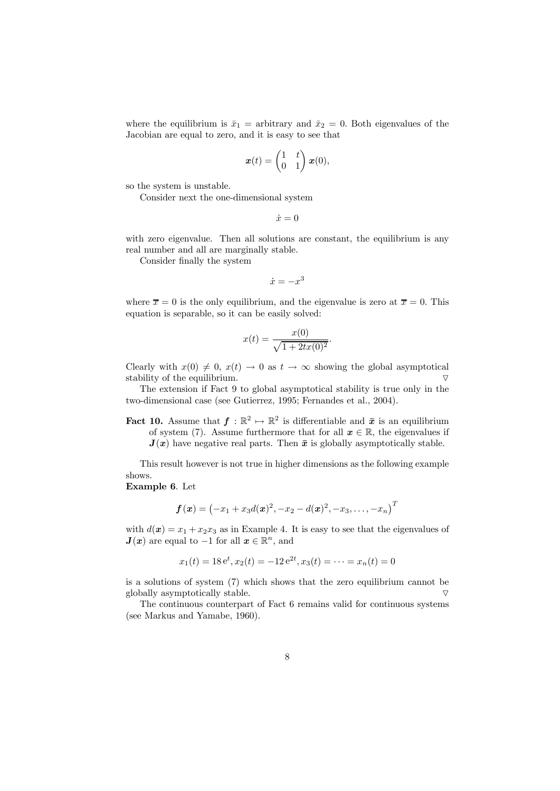where the equilibrium is  $\bar{x}_1$  = arbitrary and  $\bar{x}_2 = 0$ . Both eigenvalues of the Jacobian are equal to zero, and it is easy to see that

$$
\boldsymbol{x}(t) = \begin{pmatrix} 1 & t \\ 0 & 1 \end{pmatrix} \boldsymbol{x}(0),
$$

so the system is unstable.

Consider next the one-dimensional system

 $\dot{x}=0$ 

with zero eigenvalue. Then all solutions are constant, the equilibrium is any real number and all are marginally stable.

Consider finally the system

 $\dot{x} = -x^3$ 

where  $\bar{x} = 0$  is the only equilibrium, and the eigenvalue is zero at  $\bar{x} = 0$ . This equation is separable, so it can be easily solved:

$$
x(t) = \frac{x(0)}{\sqrt{1 + 2tx(0)^2}}.
$$

Clearly with  $x(0) \neq 0$ ,  $x(t) \to 0$  as  $t \to \infty$  showing the global asymptotical stability of the equilibrium stability of the equilibrium.

The extension if Fact 9 to global asymptotical stability is true only in the two-dimensional case (see Gutierrez, 1995; Fernandes et al., 2004).

**Fact 10.** Assume that  $f : \mathbb{R}^2 \to \mathbb{R}^2$  is differentiable and  $\bar{x}$  is an equilibrium of system (7). Assume furthermore that for all  $x \in \mathbb{R}$ , the eigenvalues if  $J(x)$  have negative real parts. Then  $\bar{x}$  is globally asymptotically stable.

This result however is not true in higher dimensions as the following example shows.

#### Example 6. Let

$$
f(x) = (-x_1 + x_3d(x)^2, -x_2 - d(x)^2, -x_3, \ldots, -x_n)^T
$$

with  $d(\mathbf{x}) = x_1 + x_2x_3$  as in Example 4. It is easy to see that the eigenvalues of  $J(x)$  are equal to -1 for all  $x \in \mathbb{R}^n$ , and

$$
x_1(t) = 18e^t, x_2(t) = -12e^{2t}, x_3(t) = \cdots = x_n(t) = 0
$$

is a solutions of system (7) which shows that the zero equilibrium cannot be globally asymptotically stable.  $\triangledown$ 

The continuous counterpart of Fact 6 remains valid for continuous systems (see Markus and Yamabe, 1960).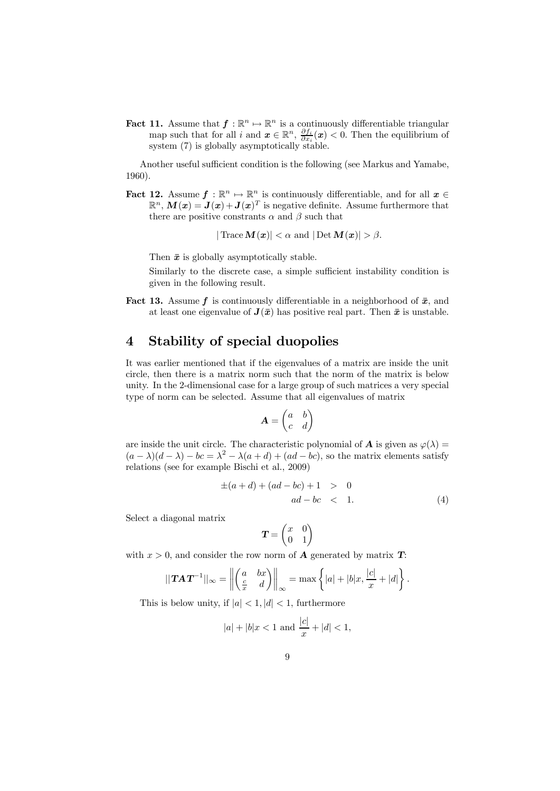**Fact 11.** Assume that  $f : \mathbb{R}^n \mapsto \mathbb{R}^n$  is a continuously differentiable triangular map such that for all i and  $x \in \mathbb{R}^n$ ,  $\frac{\partial f_i}{\partial x_i}(x) < 0$ . Then the equilibrium of system (7) is globally asymptotically stable.

Another useful sufficient condition is the following (see Markus and Yamabe, 1960).

**Fact 12.** Assume  $f : \mathbb{R}^n \to \mathbb{R}^n$  is continuously differentiable, and for all  $x \in$  $\mathbb{R}^n$ ,  $M(x) = J(x) + J(x)^T$  is negative definite. Assume furthermore that there are positive constrants  $\alpha$  and  $\beta$  such that

 $|\text{Trace}\,\mathbf{M}(\boldsymbol{x})| < \alpha \text{ and } |\text{Det}\,\mathbf{M}(\boldsymbol{x})| > \beta.$ 

Then  $\bar{x}$  is globally asymptotically stable.

Similarly to the discrete case, a simple sufficient instability condition is given in the following result.

**Fact 13.** Assume f is continuously differentiable in a neighborhood of  $\bar{x}$ , and at least one eigenvalue of  $J(\bar{x})$  has positive real part. Then  $\bar{x}$  is unstable.

### 4 Stability of special duopolies

It was earlier mentioned that if the eigenvalues of a matrix are inside the unit circle, then there is a matrix norm such that the norm of the matrix is below unity. In the 2-dimensional case for a large group of such matrices a very special type of norm can be selected. Assume that all eigenvalues of matrix

$$
\mathbf{A} = \begin{pmatrix} a & b \\ c & d \end{pmatrix}
$$

are inside the unit circle. The characteristic polynomial of **A** is given as  $\varphi(\lambda) =$  $(a - \lambda)(d - \lambda) - bc = \lambda^2 - \lambda(a + d) + (ad - bc)$ , so the matrix elements satisfy relations (see for example Bischi et al., 2009)

$$
\pm(a+d) + (ad - bc) + 1 > 0 ad - bc < 1.
$$
 (4)

Select a diagonal matrix

$$
\boldsymbol{T} = \begin{pmatrix} x & 0 \\ 0 & 1 \end{pmatrix}
$$

with  $x > 0$ , and consider the row norm of **A** generated by matrix **T**:

$$
||\mathbf{T} \mathbf{A} \mathbf{T}^{-1}||_{\infty} = \left\| \begin{pmatrix} a & bx \\ \frac{c}{x} & d \end{pmatrix} \right\|_{\infty} = \max \left\{ |a| + |b|x, \frac{|c|}{x} + |d| \right\}.
$$

This is below unity, if  $|a| < 1$ ,  $|d| < 1$ , furthermore

$$
|a| + |b|x < 1
$$
 and  $\frac{|c|}{x} + |d| < 1$ ,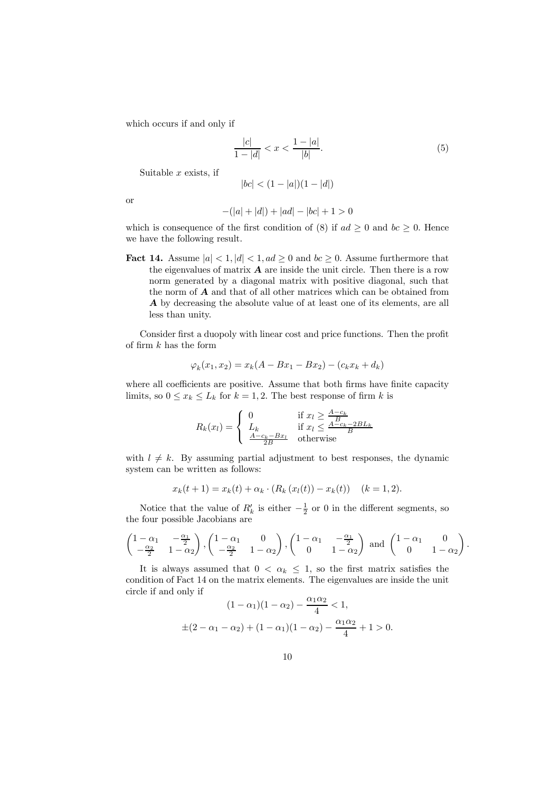which occurs if and only if

$$
\frac{|c|}{1-|d|} < x < \frac{1-|a|}{|b|}.\tag{5}
$$

Suitable  $x$  exists, if

$$
|bc| < (1 - |a|)(1 - |d|)
$$

or

$$
-(|a|+|d|)+|ad|-|bc|+1>0
$$

which is consequence of the first condition of (8) if  $ad \geq 0$  and  $bc \geq 0$ . Hence we have the following result.

**Fact 14.** Assume  $|a| < 1, |d| < 1, ad \ge 0$  and  $bc \ge 0$ . Assume furthermore that the eigenvalues of matrix  $\bf{A}$  are inside the unit circle. Then there is a row norm generated by a diagonal matrix with positive diagonal, such that the norm of  $A$  and that of all other matrices which can be obtained from A by decreasing the absolute value of at least one of its elements, are all less than unity.

Consider first a duopoly with linear cost and price functions. Then the profit of firm  $k$  has the form

$$
\varphi_k(x_1, x_2) = x_k(A - Bx_1 - Bx_2) - (c_k x_k + d_k)
$$

where all coefficients are positive. Assume that both firms have finite capacity limits, so  $0 \le x_k \le L_k$  for  $k = 1, 2$ . The best response of firm k is

$$
R_k(x_l) = \begin{cases} 0 & \text{if } x_l \ge \frac{A - c_k}{B} \\ L_k & \text{if } x_l \le \frac{A - c_k - 2BL_k}{B} \\ \frac{A - c_k - Bx_l}{2B} & \text{otherwise} \end{cases}
$$

with  $l \neq k$ . By assuming partial adjustment to best responses, the dynamic system can be written as follows:

$$
x_k(t+1) = x_k(t) + \alpha_k \cdot (R_k(x_l(t)) - x_k(t)) \quad (k = 1, 2).
$$

Notice that the value of  $R'_k$  is either  $-\frac{1}{2}$  or 0 in the different segments, so the four possible Jacobians are

$$
\begin{pmatrix} 1-\alpha_1 & -\frac{\alpha_1}{2} \\ -\frac{\alpha_2}{2} & 1-\alpha_2 \end{pmatrix}, \begin{pmatrix} 1-\alpha_1 & 0 \\ -\frac{\alpha_2}{2} & 1-\alpha_2 \end{pmatrix}, \begin{pmatrix} 1-\alpha_1 & -\frac{\alpha_1}{2} \\ 0 & 1-\alpha_2 \end{pmatrix} \text{ and } \begin{pmatrix} 1-\alpha_1 & 0 \\ 0 & 1-\alpha_2 \end{pmatrix}.
$$

It is always assumed that  $0 < \alpha_k \leq 1$ , so the first matrix satisfies the condition of Fact 14 on the matrix elements. The eigenvalues are inside the unit circle if and only if

$$
(1 - \alpha_1)(1 - \alpha_2) - \frac{\alpha_1 \alpha_2}{4} < 1,
$$
  
\n
$$
\pm (2 - \alpha_1 - \alpha_2) + (1 - \alpha_1)(1 - \alpha_2) - \frac{\alpha_1 \alpha_2}{4} + 1 > 0.
$$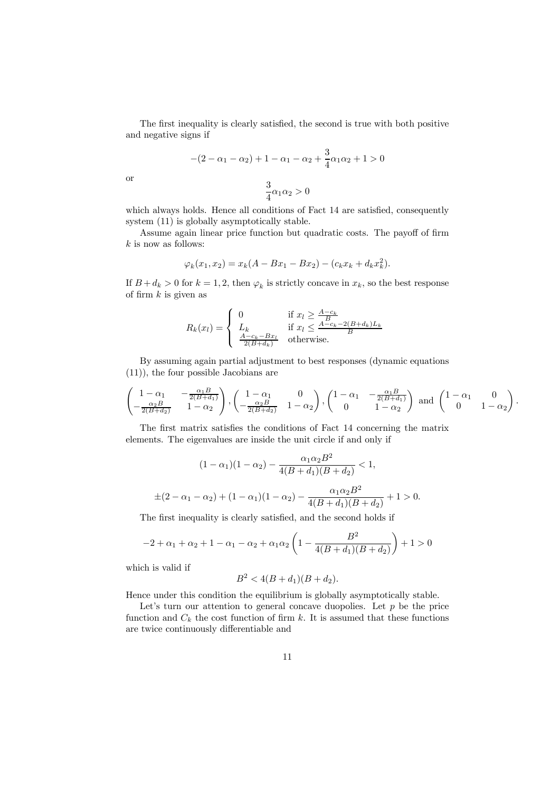The first inequality is clearly satisfied, the second is true with both positive and negative signs if

$$
-(2 - \alpha_1 - \alpha_2) + 1 - \alpha_1 - \alpha_2 + \frac{3}{4}\alpha_1\alpha_2 + 1 > 0
$$

$$
\frac{3}{4}\alpha_1\alpha_2 > 0
$$

or

which always holds. Hence all conditions of Fact 14 are satisfied, consequently system (11) is globally asymptotically stable.

Assume again linear price function but quadratic costs. The payoff of firm  $k$  is now as follows:

$$
\varphi_k(x_1, x_2) = x_k(A - Bx_1 - Bx_2) - (c_k x_k + d_k x_k^2).
$$

If  $B + d_k > 0$  for  $k = 1, 2$ , then  $\varphi_k$  is strictly concave in  $x_k$ , so the best response of firm  $k$  is given as

$$
R_k(x_l) = \begin{cases} 0 & \text{if } x_l \ge \frac{A - c_k}{B} \\ L_k & \text{if } x_l \le \frac{A - c_k - 2(B + d_k)L_k}{B} \\ \frac{A - c_k - Bx_l}{2(B + d_k)} & \text{otherwise.} \end{cases}
$$

By assuming again partial adjustment to best responses (dynamic equations (11)), the four possible Jacobians are

$$
\begin{pmatrix} 1-\alpha_1 & -\frac{\alpha_1 B}{2(B+d_1)} \\ -\frac{\alpha_2 B}{2(B+d_2)} & 1-\alpha_2 \end{pmatrix}, \begin{pmatrix} 1-\alpha_1 & 0 \\ -\frac{\alpha_2 B}{2(B+d_2)} & 1-\alpha_2 \end{pmatrix}, \begin{pmatrix} 1-\alpha_1 & -\frac{\alpha_1 B}{2(B+d_1)} \\ 0 & 1-\alpha_2 \end{pmatrix} \text{ and } \begin{pmatrix} 1-\alpha_1 & 0 \\ 0 & 1-\alpha_2 \end{pmatrix}.
$$

The first matrix satisfies the conditions of Fact 14 concerning the matrix elements. The eigenvalues are inside the unit circle if and only if

$$
(1 - \alpha_1)(1 - \alpha_2) - \frac{\alpha_1 \alpha_2 B^2}{4(B + d_1)(B + d_2)} < 1,
$$
  

$$
\pm (2 - \alpha_1 - \alpha_2) + (1 - \alpha_1)(1 - \alpha_2) - \frac{\alpha_1 \alpha_2 B^2}{4(B + d_1)(B + d_2)} + 1 > 0.
$$

The first inequality is clearly satisfied, and the second holds if

$$
-2 + \alpha_1 + \alpha_2 + 1 - \alpha_1 - \alpha_2 + \alpha_1 \alpha_2 \left( 1 - \frac{B^2}{4(B + d_1)(B + d_2)} \right) + 1 > 0
$$

which is valid if

$$
B^2 < 4(B + d_1)(B + d_2).
$$

Hence under this condition the equilibrium is globally asymptotically stable.

Let's turn our attention to general concave duopolies. Let  $p$  be the price function and  $C_k$  the cost function of firm k. It is assumed that these functions are twice continuously differentiable and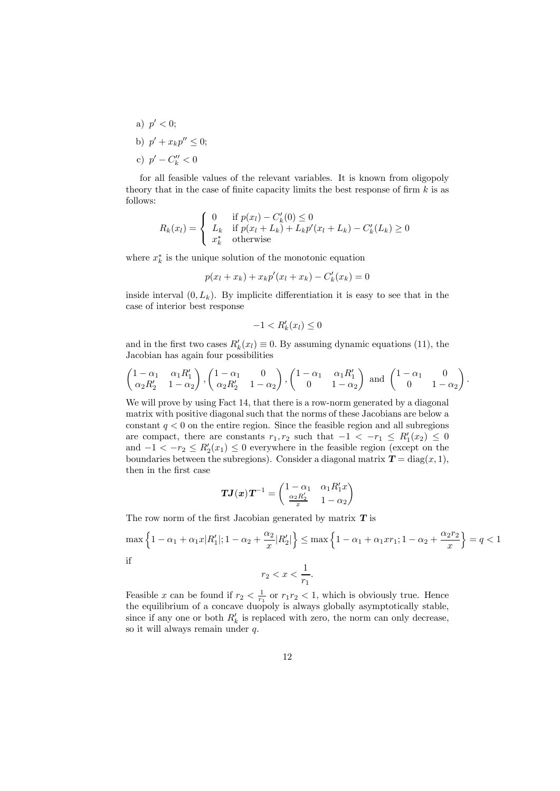a)  $p' < 0$ ; b)  $p' + x_k p'' \leq 0;$ c)  $p' - C''_k < 0$ 

for all feasible values of the relevant variables. It is known from oligopoly theory that in the case of finite capacity limits the best response of firm  $k$  is as follows:

$$
R_k(x_l) = \begin{cases} 0 & \text{if } p(x_l) - C'_k(0) \le 0\\ L_k & \text{if } p(x_l + L_k) + L_k p'(x_l + L_k) - C'_k(L_k) \ge 0\\ x_k^* & \text{otherwise} \end{cases}
$$

where  $x_k^*$  is the unique solution of the monotonic equation

$$
p(x_l + x_k) + x_k p'(x_l + x_k) - C'_k(x_k) = 0
$$

inside interval  $(0, L_k)$ . By implicite differentiation it is easy to see that in the case of interior best response

$$
-1 < R'_k(x_l) \le 0
$$

and in the first two cases  $R'_k(x_l) \equiv 0$ . By assuming dynamic equations (11), the Jacobian has again four possibilities

$$
\begin{pmatrix} 1-\alpha_1 & \alpha_1 R'_1 \ \alpha_2 R'_2 & 1-\alpha_2 \end{pmatrix}, \begin{pmatrix} 1-\alpha_1 & 0 \ \alpha_2 R'_2 & 1-\alpha_2 \end{pmatrix}, \begin{pmatrix} 1-\alpha_1 & \alpha_1 R'_1 \ 0 & 1-\alpha_2 \end{pmatrix} \text{ and } \begin{pmatrix} 1-\alpha_1 & 0 \ 0 & 1-\alpha_2 \end{pmatrix}.
$$

We will prove by using Fact 14, that there is a row-norm generated by a diagonal matrix with positive diagonal such that the norms of these Jacobians are below a constant  $q < 0$  on the entire region. Since the feasible region and all subregions are compact, there are constants  $r_1, r_2$  such that  $-1 < -r_1 \le R'_1(x_2) \le 0$ and  $-1 < -r_2 \le R'_2(x_1) \le 0$  everywhere in the feasible region (except on the boundaries between the subregions). Consider a diagonal matrix  $T = diag(x, 1)$ , then in the first case

$$
TJ(x)T^{-1} = \begin{pmatrix} 1 - \alpha_1 & \alpha_1 R'_1 x \\ \frac{\alpha_2 R'_2}{x} & 1 - \alpha_2 \end{pmatrix}
$$

The row norm of the first Jacobian generated by matrix  $T$  is

$$
\max\left\{1 - \alpha_1 + \alpha_1 x |R'_1|; 1 - \alpha_2 + \frac{\alpha_2}{x} |R'_2|\right\} \le \max\left\{1 - \alpha_1 + \alpha_1 x r_1; 1 - \alpha_2 + \frac{\alpha_2 r_2}{x}\right\} = q < 1
$$
 if

$$
r_2 < x < \frac{1}{r_1}.
$$

Feasible x can be found if  $r_2 < \frac{1}{r_1}$  or  $r_1r_2 < 1$ , which is obviously true. Hence the equilibrium of a concave duopoly is always globally asymptotically stable, since if any one or both  $R'_k$  is replaced with zero, the norm can only decrease, so it will always remain under q.